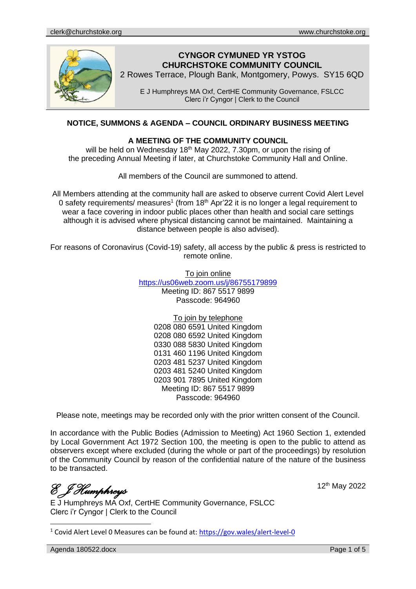

# **CYNGOR CYMUNED YR YSTOG CHURCHSTOKE COMMUNITY COUNCIL**

2 Rowes Terrace, Plough Bank, Montgomery, Powys. SY15 6QD

E J Humphreys MA Oxf, CertHE Community Governance, FSLCC Clerc i'r Cyngor | Clerk to the Council

# **NOTICE, SUMMONS & AGENDA – COUNCIL ORDINARY BUSINESS MEETING**

### **A MEETING OF THE COMMUNITY COUNCIL**

will be held on Wednesday  $18<sup>th</sup>$  May 2022, 7.30pm, or upon the rising of the preceding Annual Meeting if later, at Churchstoke Community Hall and Online.

All members of the Council are summoned to attend.

All Members attending at the community hall are asked to observe current Covid Alert Level 0 safety requirements/ measures<sup>1</sup> (from 18<sup>th</sup> Apr'22 it is no longer a legal requirement to wear a face covering in indoor public places other than health and social care settings although it is advised where physical distancing cannot be maintained. Maintaining a distance between people is also advised).

For reasons of Coronavirus (Covid-19) safety, all access by the public & press is restricted to remote online.

> To join online <https://us06web.zoom.us/j/86755179899> Meeting ID: 867 5517 9899 Passcode: 964960

> > To join by telephone

0208 080 6591 United Kingdom 0208 080 6592 United Kingdom 0330 088 5830 United Kingdom 0131 460 1196 United Kingdom 0203 481 5237 United Kingdom 0203 481 5240 United Kingdom 0203 901 7895 United Kingdom Meeting ID: 867 5517 9899 Passcode: 964960

Please note, meetings may be recorded only with the prior written consent of the Council.

In accordance with the Public Bodies (Admission to Meeting) Act 1960 Section 1, extended by Local Government Act 1972 Section 100, the meeting is open to the public to attend as observers except where excluded (during the whole or part of the proceedings) by resolution of the Community Council by reason of the confidential nature of the nature of the business to be transacted.

*E J Humphreys* 

E J Humphreys MA Oxf, CertHE Community Governance, FSLCC Clerc i'r Cyngor | Clerk to the Council

<sup>1</sup> Covid Alert Level 0 Measures can be found at:<https://gov.wales/alert-level-0>

Agenda 180522.docx **Page 1 of 5** 

12th May 2022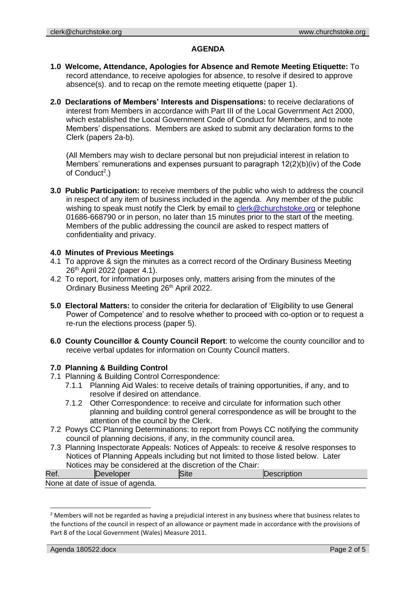## **AGENDA**

- **1.0 Welcome, Attendance, Apologies for Absence and Remote Meeting Etiquette:** To record attendance, to receive apologies for absence, to resolve if desired to approve absence(s). and to recap on the remote meeting etiquette (paper 1).
- **2.0 Declarations of Members' Interests and Dispensations:** to receive declarations of interest from Members in accordance with Part III of the Local Government Act 2000, which established the Local Government Code of Conduct for Members, and to note Members' dispensations. Members are asked to submit any declaration forms to the Clerk (papers 2a-b).

(All Members may wish to declare personal but non prejudicial interest in relation to Members' remunerations and expenses pursuant to paragraph 12(2)(b)(iv) of the Code of Conduct<sup>2</sup>.)

**3.0 Public Participation:** to receive members of the public who wish to address the council in respect of any item of business included in the agenda. Any member of the public wishing to speak must notify the Clerk by email to [clerk@churchstoke.org](mailto:clerk@churchstoke.org) or telephone 01686-668790 or in person, no later than 15 minutes prior to the start of the meeting. Members of the public addressing the council are asked to respect matters of confidentiality and privacy.

## **4.0 Minutes of Previous Meetings**

- 4.1 To approve & sign the minutes as a correct record of the Ordinary Business Meeting 26th April 2022 (paper 4.1).
- 4.2 To report, for information purposes only, matters arising from the minutes of the Ordinary Business Meeting 26<sup>th</sup> April 2022.
- **5.0 Electoral Matters:** to consider the criteria for declaration of 'Eligibility to use General Power of Competence' and to resolve whether to proceed with co-option or to request a re-run the elections process (paper 5).
- **6.0 County Councillor & County Council Report**: to welcome the county councillor and to receive verbal updates for information on County Council matters.

## **7.0 Planning & Building Control**

- 7.1 Planning & Building Control Correspondence:
	- 7.1.1 Planning Aid Wales: to receive details of training opportunities, if any, and to resolve if desired on attendance.
	- 7.1.2 Other Correspondence: to receive and circulate for information such other planning and building control general correspondence as will be brought to the attention of the council by the Clerk.
- 7.2 Powys CC Planning Determinations: to report from Powys CC notifying the community council of planning decisions, if any, in the community council area.
- 7.3 Planning Inspectorate Appeals: Notices of Appeals: to receive & resolve responses to Notices of Planning Appeals including but not limited to those listed below. Later Notices may be considered at the discretion of the Chair:

| Ref. | eveloper                         | ISite | rescribtion |
|------|----------------------------------|-------|-------------|
|      | None at date of issue of agenda. |       |             |
|      |                                  |       |             |

<sup>&</sup>lt;sup>2</sup> Members will not be regarded as having a prejudicial interest in any business where that business relates to the functions of the council in respect of an allowance or payment made in accordance with the provisions of Part 8 of the Local Government (Wales) Measure 2011.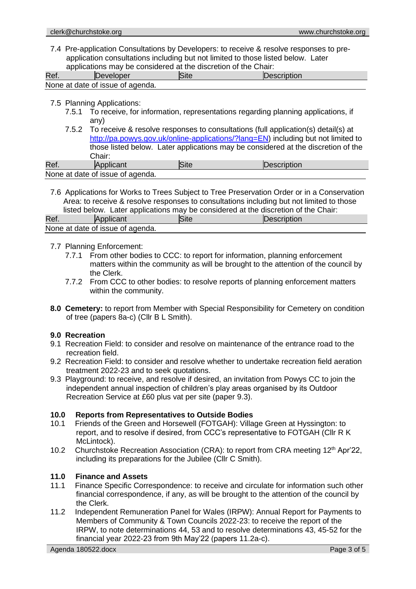7.4 Pre-application Consultations by Developers: to receive & resolve responses to preapplication consultations including but not limited to those listed below. Later applications may be considered at the discretion of the Chair:

| Ref. | Site<br>Description<br><b>IDeveloper</b> |  |  |
|------|------------------------------------------|--|--|
|      | None at date of issue of agenda.         |  |  |

#### 7.5 Planning Applications:

- 7.5.1 To receive, for information, representations regarding planning applications, if any)
- 7.5.2 To receive & resolve responses to consultations (full application(s) detail(s) at http://pa.powys.gov.uk/online-applications/?lang=EN) including but not limited to those listed below. Later applications may be considered at the discretion of the Chair:<br>Applicant Ref. Applicant Site **Site** Description

None at date of issue of agenda.

7.6 Applications for Works to Trees Subject to Tree Preservation Order or in a Conservation Area: to receive & resolve responses to consultations including but not limited to those listed below. Later applications may be considered at the discretion of the Chair:

| Ref | Applicant                        | <b>Site</b> | <b>IDescription</b> |
|-----|----------------------------------|-------------|---------------------|
|     | None at date of issue of agenda. |             |                     |

#### 7.7 Planning Enforcement:

- 7.7.1 From other bodies to CCC: to report for information, planning enforcement matters within the community as will be brought to the attention of the council by the Clerk.
- 7.7.2 From CCC to other bodies: to resolve reports of planning enforcement matters within the community.
- **8.0 Cemetery:** to report from Member with Special Responsibility for Cemetery on condition of tree (papers 8a-c) (Cllr B L Smith).

#### **9.0 Recreation**

- 9.1 Recreation Field: to consider and resolve on maintenance of the entrance road to the recreation field.
- 9.2 Recreation Field: to consider and resolve whether to undertake recreation field aeration treatment 2022-23 and to seek quotations.
- 9.3 Playground: to receive, and resolve if desired, an invitation from Powys CC to join the independent annual inspection of children's play areas organised by its Outdoor Recreation Service at £60 plus vat per site (paper 9.3).

## **10.0 Reports from Representatives to Outside Bodies**

- 10.1 Friends of the Green and Horsewell (FOTGAH): Village Green at Hyssington: to report, and to resolve if desired, from CCC's representative to FOTGAH (Cllr R K McLintock).
- 10.2 Churchstoke Recreation Association (CRA): to report from CRA meeting  $12<sup>th</sup>$  Apr'22, including its preparations for the Jubilee (Cllr C Smith).

## **11.0 Finance and Assets**

- 11.1 Finance Specific Correspondence: to receive and circulate for information such other financial correspondence, if any, as will be brought to the attention of the council by the Clerk.
- 11.2 Independent Remuneration Panel for Wales (IRPW): Annual Report for Payments to Members of Community & Town Councils 2022-23: to receive the report of the IRPW, to note determinations 44, 53 and to resolve determinations 43, 45-52 for the financial year 2022-23 from 9th May'22 (papers 11.2a-c).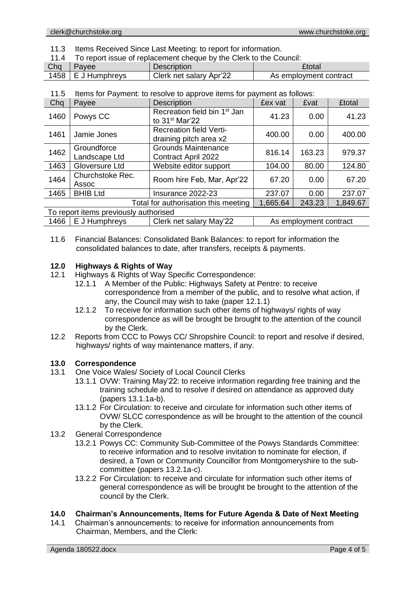11.3 Items Received Since Last Meeting: to report for information.

| To report issue of replacement cheque by the Clerk to the Council: |                    |               |  |  |
|--------------------------------------------------------------------|--------------------|---------------|--|--|
| $Chq$   Payee                                                      | <b>Description</b> | <b>£total</b> |  |  |

| <b>VIIY</b> | avuu            | <b>DUSCHIPHOLI</b>      | Liviai                 |  |  |
|-------------|-----------------|-------------------------|------------------------|--|--|
| 1458        | I E J Humphrevs | Clerk net salary Apr'22 | As employment contract |  |  |
|             |                 |                         |                        |  |  |

|  |  | 11.5 Items for Payment: to resolve to approve items for payment as follows: |
|--|--|-----------------------------------------------------------------------------|
|  |  |                                                                             |

| Chq                                   | Payee                                    | <b>Description</b>                                                     | £ex vat  | £vat                   | <b>£total</b> |
|---------------------------------------|------------------------------------------|------------------------------------------------------------------------|----------|------------------------|---------------|
| 1460                                  | Powys CC                                 | Recreation field bin 1 <sup>st</sup> Jan<br>to 31 <sup>st</sup> Mar'22 | 41.23    | 0.00                   | 41.23         |
| 1461                                  | Jamie Jones                              | <b>Recreation field Verti-</b><br>draining pitch area x2               | 400.00   | 0.00                   | 400.00        |
| 1462                                  | Groundforce<br>Landscape Ltd             | <b>Grounds Maintenance</b><br>Contract April 2022                      | 816.14   | 163.23                 | 979.37        |
| 1463                                  | Gloversure Ltd                           | Website editor support                                                 | 104.00   | 80.00                  | 124.80        |
| 1464                                  | Churchstoke Rec.<br>Assoc                | Room hire Feb, Mar, Apr'22                                             | 67.20    | 0.00                   | 67.20         |
| 1465                                  | <b>BHIB Ltd</b>                          | Insurance 2022-23                                                      | 237.07   | 0.00                   | 237.07        |
| Total for authorisation this meeting  |                                          |                                                                        | 1,665.64 | 243.23                 | 1,849.67      |
| To report items previously authorised |                                          |                                                                        |          |                        |               |
| 1466                                  | E J Humphreys<br>Clerk net salary May'22 |                                                                        |          | As employment contract |               |

11.6 Financial Balances: Consolidated Bank Balances: to report for information the consolidated balances to date, after transfers, receipts & payments.

## **12.0 Highways & Rights of Way**

- 12.1 Highways & Rights of Way Specific Correspondence:
	- 12.1.1 A Member of the Public: Highways Safety at Pentre: to receive correspondence from a member of the public, and to resolve what action, if any, the Council may wish to take (paper 12.1.1)
	- 12.1.2 To receive for information such other items of highways/ rights of way correspondence as will be brought be brought to the attention of the council by the Clerk.
- 12.2 Reports from CCC to Powys CC/ Shropshire Council: to report and resolve if desired, highways/ rights of way maintenance matters, if any.

## **13.0 Correspondence**

- 13.1 One Voice Wales/ Society of Local Council Clerks
	- 13.1.1 OVW: Training May'22: to receive information regarding free training and the training schedule and to resolve if desired on attendance as approved duty (papers 13.1.1a-b).
	- 13.1.2 For Circulation: to receive and circulate for information such other items of OVW/ SLCC correspondence as will be brought to the attention of the council by the Clerk.
- 13.2 General Correspondence
	- 13.2.1 Powys CC: Community Sub-Committee of the Powys Standards Committee: to receive information and to resolve invitation to nominate for election, if desired, a Town or Community Councillor from Montgomeryshire to the subcommittee (papers 13.2.1a-c).
	- 13.2.2 For Circulation: to receive and circulate for information such other items of general correspondence as will be brought be brought to the attention of the council by the Clerk.

## **14.0 Chairman's Announcements, Items for Future Agenda & Date of Next Meeting**

14.1 Chairman's announcements: to receive for information announcements from Chairman, Members, and the Clerk: